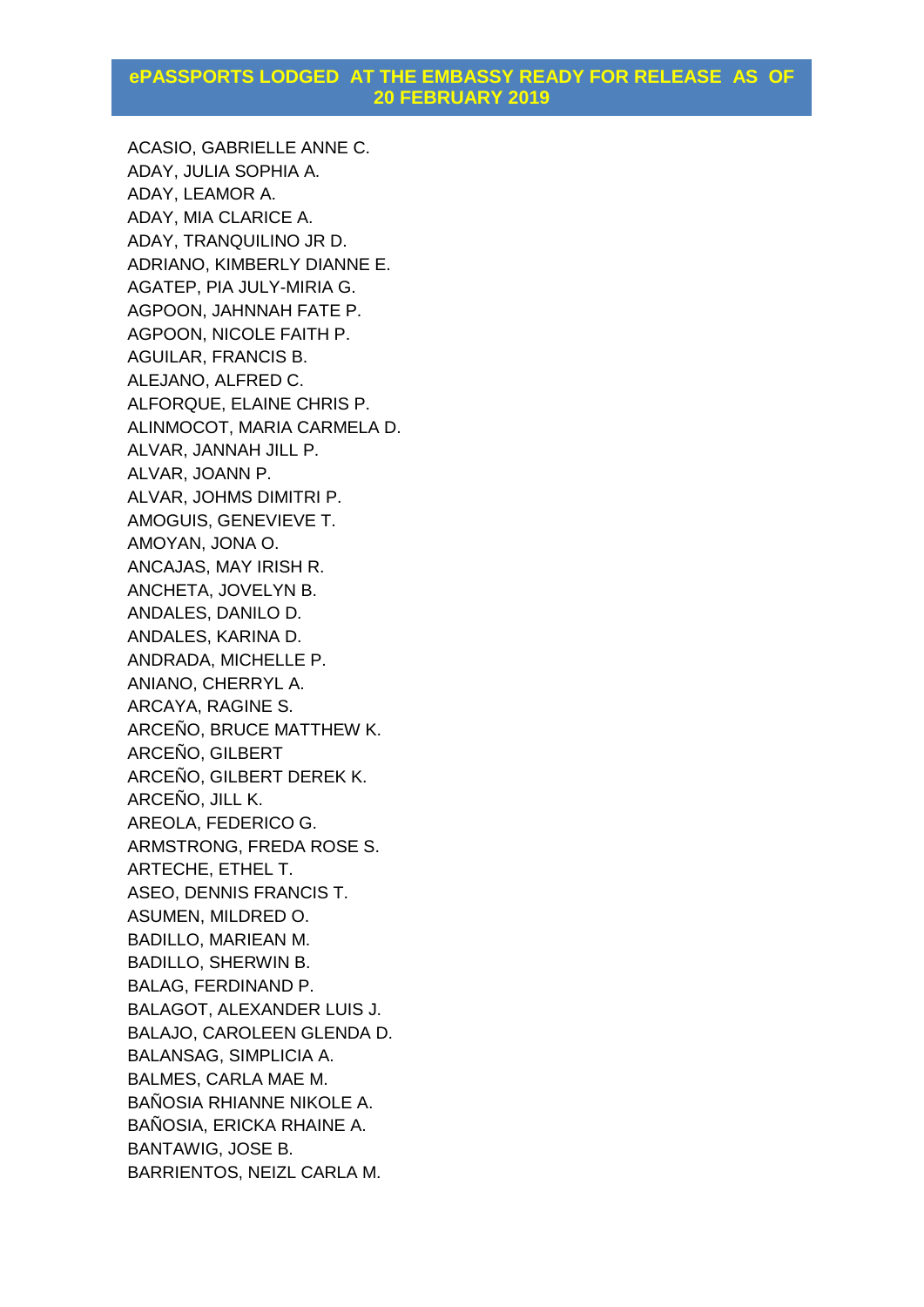ACASIO, GABRIELLE ANNE C. ADAY, JULIA SOPHIA A. ADAY, LEAMOR A. ADAY, MIA CLARICE A. ADAY, TRANQUILINO JR D. ADRIANO, KIMBERLY DIANNE E. AGATEP, PIA JULY-MIRIA G. AGPOON, JAHNNAH FATE P. AGPOON, NICOLE FAITH P. AGUILAR, FRANCIS B. ALEJANO, ALFRED C. ALFORQUE, ELAINE CHRIS P. ALINMOCOT, MARIA CARMELA D. ALVAR, JANNAH JILL P. ALVAR, JOANN P. ALVAR, JOHMS DIMITRI P. AMOGUIS, GENEVIEVE T. AMOYAN, JONA O. ANCAJAS, MAY IRISH R. ANCHETA, JOVELYN B. ANDALES, DANILO D. ANDALES, KARINA D. ANDRADA, MICHELLE P. ANIANO, CHERRYL A. ARCAYA, RAGINE S. ARCEÑO, BRUCE MATTHEW K. ARCEÑO, GILBERT ARCEÑO, GILBERT DEREK K. ARCEÑO, JILL K. AREOLA, FEDERICO G. ARMSTRONG, FREDA ROSE S. ARTECHE, ETHEL T. ASEO, DENNIS FRANCIS T. ASUMEN, MILDRED O. BADILLO, MARIEAN M. BADILLO, SHERWIN B. BALAG, FERDINAND P. BALAGOT, ALEXANDER LUIS J. BALAJO, CAROLEEN GLENDA D. BALANSAG, SIMPLICIA A. BALMES, CARLA MAE M. BAÑOSIA RHIANNE NIKOLE A. BAÑOSIA, ERICKA RHAINE A. BANTAWIG, JOSE B. BARRIENTOS, NEIZL CARLA M.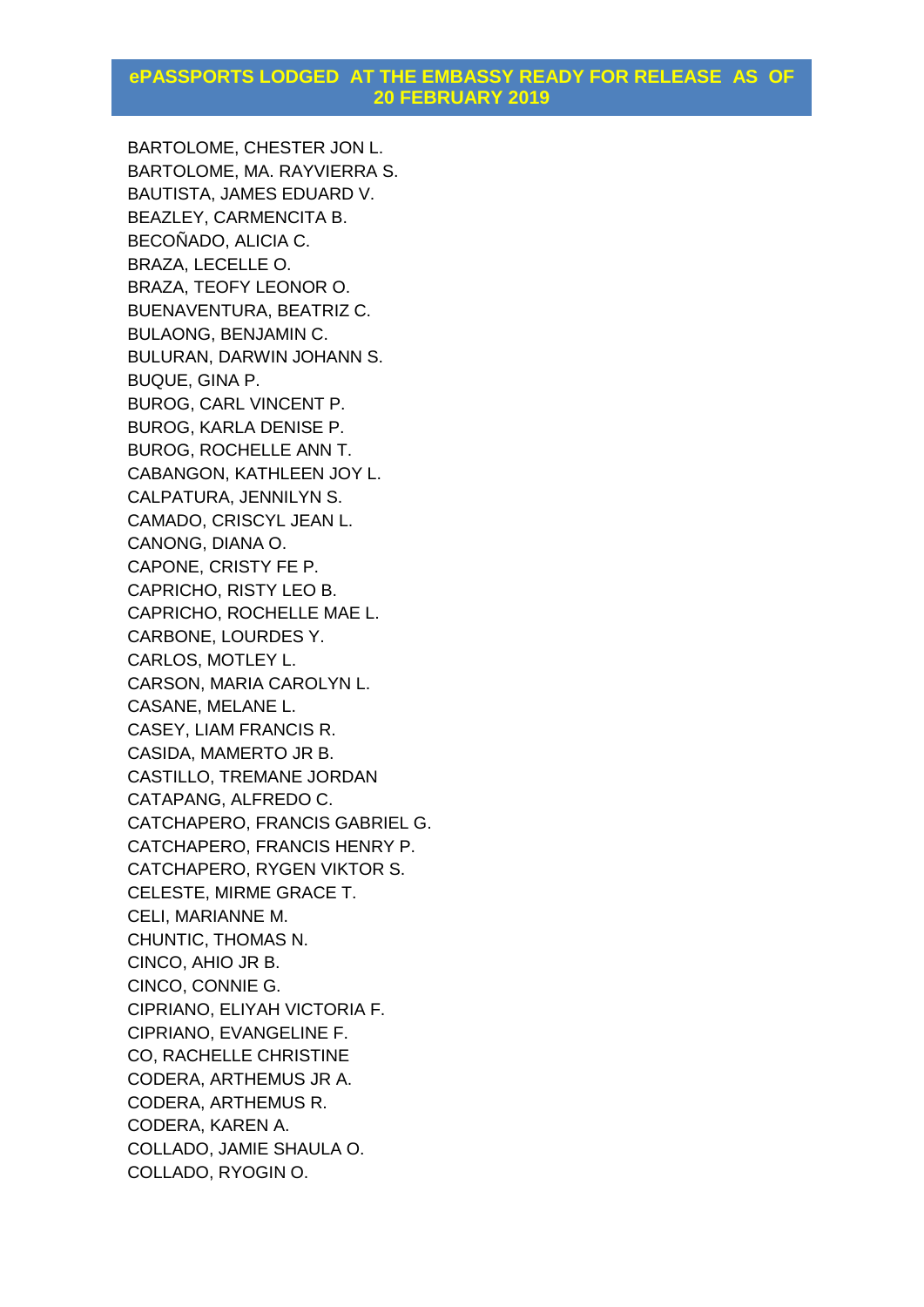BARTOLOME, CHESTER JON L. BARTOLOME, MA. RAYVIERRA S. BAUTISTA, JAMES EDUARD V. BEAZLEY, CARMENCITA B. BECOÑADO, ALICIA C. BRAZA, LECELLE O. BRAZA, TEOFY LEONOR O. BUENAVENTURA, BEATRIZ C. BULAONG, BENJAMIN C. BULURAN, DARWIN JOHANN S. BUQUE, GINA P. BUROG, CARL VINCENT P. BUROG, KARLA DENISE P. BUROG, ROCHELLE ANN T. CABANGON, KATHLEEN JOY L. CALPATURA, JENNILYN S. CAMADO, CRISCYL JEAN L. CANONG, DIANA O. CAPONE, CRISTY FE P. CAPRICHO, RISTY LEO B. CAPRICHO, ROCHELLE MAE L. CARBONE, LOURDES Y. CARLOS, MOTLEY L. CARSON, MARIA CAROLYN L. CASANE, MELANE L. CASEY, LIAM FRANCIS R. CASIDA, MAMERTO JR B. CASTILLO, TREMANE JORDAN CATAPANG, ALFREDO C. CATCHAPERO, FRANCIS GABRIEL G. CATCHAPERO, FRANCIS HENRY P. CATCHAPERO, RYGEN VIKTOR S. CELESTE, MIRME GRACE T. CELI, MARIANNE M. CHUNTIC, THOMAS N. CINCO, AHIO JR B. CINCO, CONNIE G. CIPRIANO, ELIYAH VICTORIA F. CIPRIANO, EVANGELINE F. CO, RACHELLE CHRISTINE CODERA, ARTHEMUS JR A. CODERA, ARTHEMUS R. CODERA, KAREN A. COLLADO, JAMIE SHAULA O. COLLADO, RYOGIN O.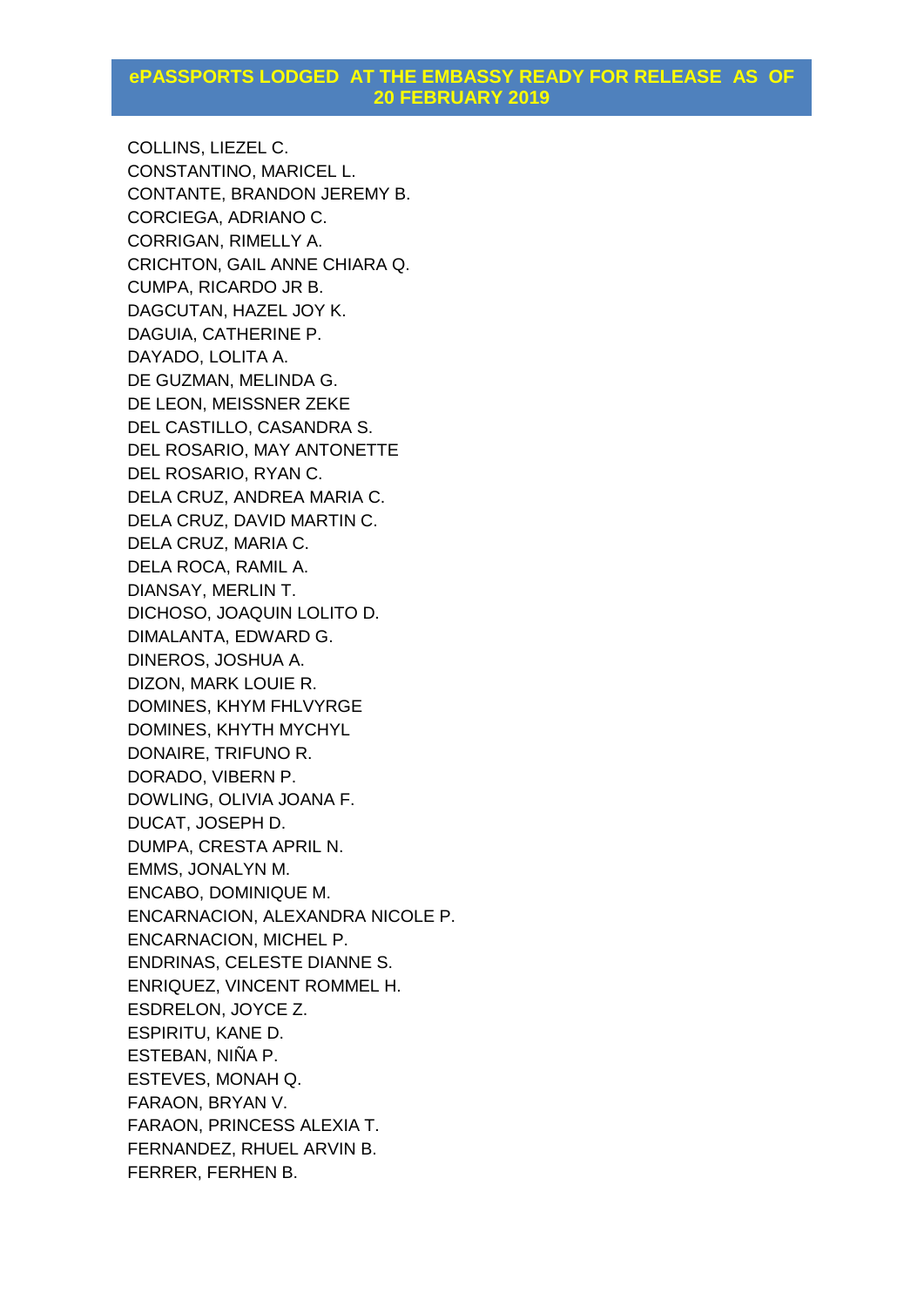COLLINS, LIEZEL C. CONSTANTINO, MARICEL L. CONTANTE, BRANDON JEREMY B. CORCIEGA, ADRIANO C. CORRIGAN, RIMELLY A. CRICHTON, GAIL ANNE CHIARA Q. CUMPA, RICARDO JR B. DAGCUTAN, HAZEL JOY K. DAGUIA, CATHERINE P. DAYADO, LOLITA A. DE GUZMAN, MELINDA G. DE LEON, MEISSNER ZEKE DEL CASTILLO, CASANDRA S. DEL ROSARIO, MAY ANTONETTE DEL ROSARIO, RYAN C. DELA CRUZ, ANDREA MARIA C. DELA CRUZ, DAVID MARTIN C. DELA CRUZ, MARIA C. DELA ROCA, RAMIL A. DIANSAY, MERLIN T. DICHOSO, JOAQUIN LOLITO D. DIMALANTA, EDWARD G. DINEROS, JOSHUA A. DIZON, MARK LOUIE R. DOMINES, KHYM FHLVYRGE DOMINES, KHYTH MYCHYL DONAIRE, TRIFUNO R. DORADO, VIBERN P. DOWLING, OLIVIA JOANA F. DUCAT, JOSEPH D. DUMPA, CRESTA APRIL N. EMMS, JONALYN M. ENCABO, DOMINIQUE M. ENCARNACION, ALEXANDRA NICOLE P. ENCARNACION, MICHEL P. ENDRINAS, CELESTE DIANNE S. ENRIQUEZ, VINCENT ROMMEL H. ESDRELON, JOYCE Z. ESPIRITU, KANE D. ESTEBAN, NIÑA P. ESTEVES, MONAH Q. FARAON, BRYAN V. FARAON, PRINCESS ALEXIA T. FERNANDEZ, RHUEL ARVIN B. FERRER, FERHEN B.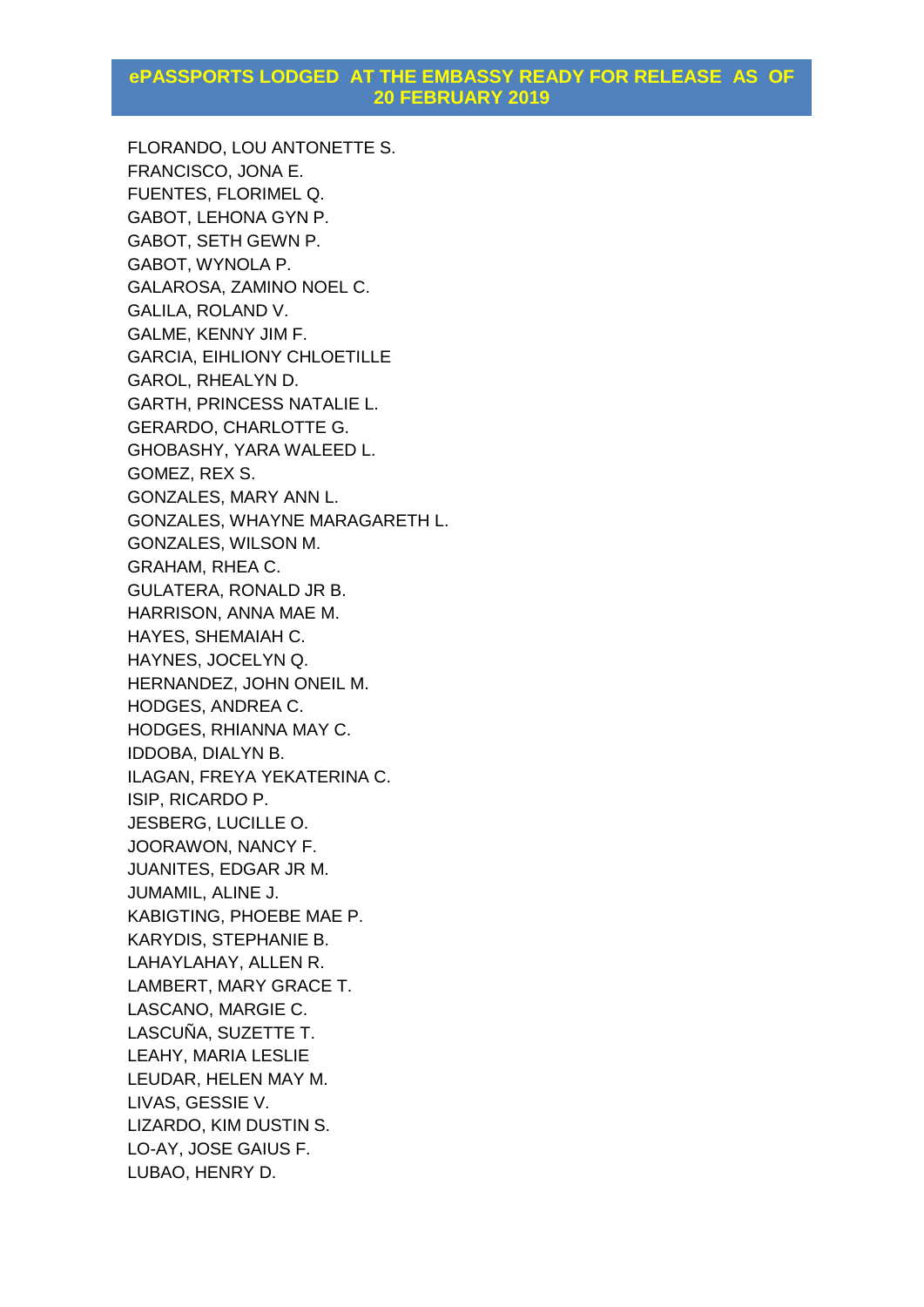FLORANDO, LOU ANTONETTE S. FRANCISCO, JONA E. FUENTES, FLORIMEL Q. GABOT, LEHONA GYN P. GABOT, SETH GEWN P. GABOT, WYNOLA P. GALAROSA, ZAMINO NOEL C. GALILA, ROLAND V. GALME, KENNY JIM F. GARCIA, EIHLIONY CHLOETILLE GAROL, RHEALYN D. GARTH, PRINCESS NATALIE L. GERARDO, CHARLOTTE G. GHOBASHY, YARA WALEED L. GOMEZ, REX S. GONZALES, MARY ANN L. GONZALES, WHAYNE MARAGARETH L. GONZALES, WILSON M. GRAHAM, RHEA C. GULATERA, RONALD JR B. HARRISON, ANNA MAE M. HAYES, SHEMAIAH C. HAYNES, JOCELYN Q. HERNANDEZ, JOHN ONEIL M. HODGES, ANDREA C. HODGES, RHIANNA MAY C. IDDOBA, DIALYN B. ILAGAN, FREYA YEKATERINA C. ISIP, RICARDO P. JESBERG, LUCILLE O. JOORAWON, NANCY F. JUANITES, EDGAR JR M. JUMAMIL, ALINE J. KABIGTING, PHOEBE MAE P. KARYDIS, STEPHANIE B. LAHAYLAHAY, ALLEN R. LAMBERT, MARY GRACE T. LASCANO, MARGIE C. LASCUÑA, SUZETTE T. LEAHY, MARIA LESLIE LEUDAR, HELEN MAY M. LIVAS, GESSIE V. LIZARDO, KIM DUSTIN S. LO-AY, JOSE GAIUS F. LUBAO, HENRY D.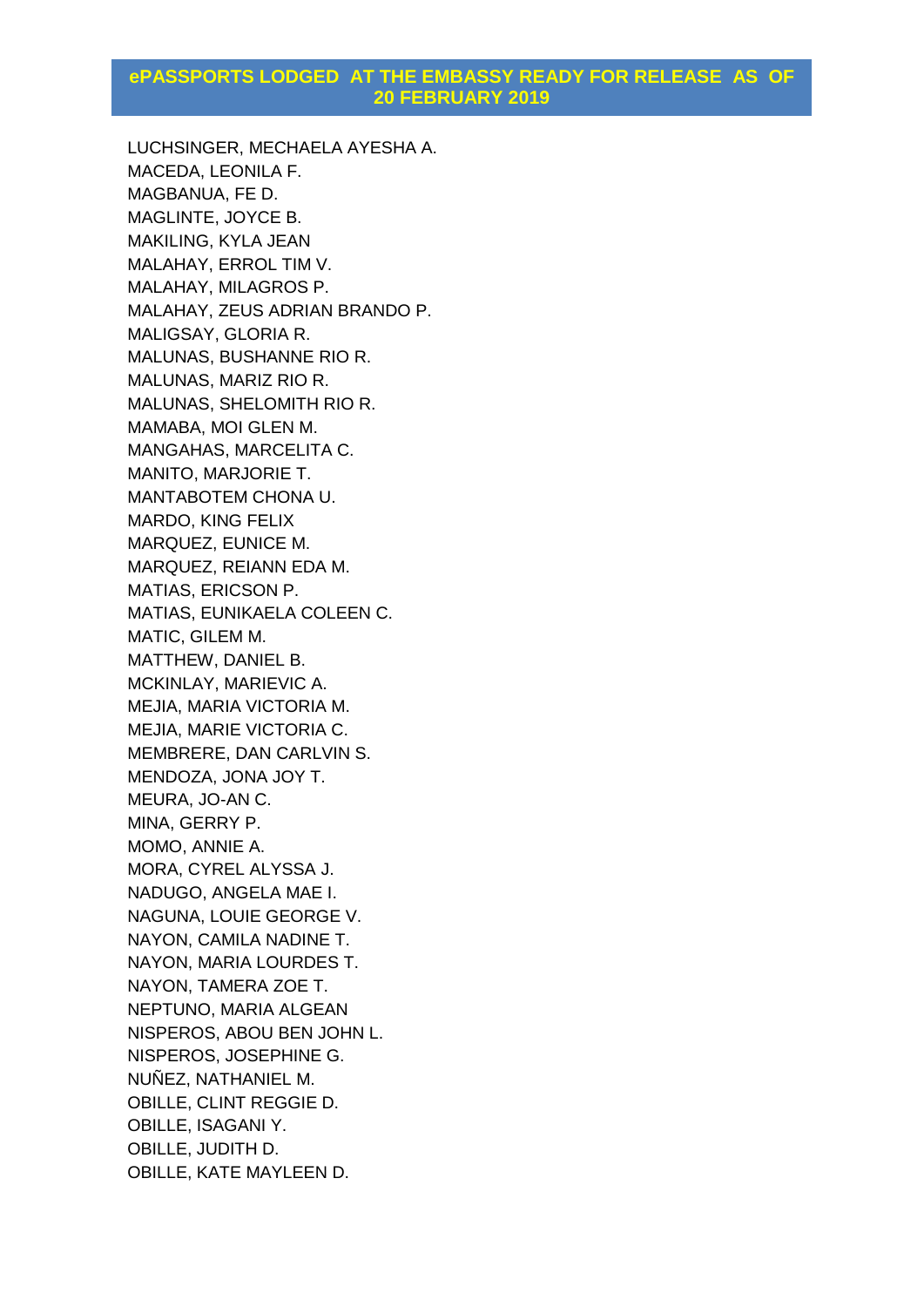LUCHSINGER, MECHAELA AYESHA A. MACEDA, LEONILA F. MAGBANUA, FE D. MAGLINTE, JOYCE B. MAKILING, KYLA JEAN MALAHAY, ERROL TIM V. MALAHAY, MILAGROS P. MALAHAY, ZEUS ADRIAN BRANDO P. MALIGSAY, GLORIA R. MALUNAS, BUSHANNE RIO R. MALUNAS, MARIZ RIO R. MALUNAS, SHELOMITH RIO R. MAMABA, MOI GLEN M. MANGAHAS, MARCELITA C. MANITO, MARJORIE T. MANTABOTEM CHONA U. MARDO, KING FELIX MARQUEZ, EUNICE M. MARQUEZ, REIANN EDA M. MATIAS, ERICSON P. MATIAS, EUNIKAELA COLEEN C. MATIC, GILEM M. MATTHEW, DANIEL B. MCKINLAY, MARIEVIC A. MEJIA, MARIA VICTORIA M. MEJIA, MARIE VICTORIA C. MEMBRERE, DAN CARLVIN S. MENDOZA, JONA JOY T. MEURA, JO-AN C. MINA, GERRY P. MOMO, ANNIE A. MORA, CYREL ALYSSA J. NADUGO, ANGELA MAE I. NAGUNA, LOUIE GEORGE V. NAYON, CAMILA NADINE T. NAYON, MARIA LOURDES T. NAYON, TAMERA ZOE T. NEPTUNO, MARIA ALGEAN NISPEROS, ABOU BEN JOHN L. NISPEROS, JOSEPHINE G. NUÑEZ, NATHANIEL M. OBILLE, CLINT REGGIE D. OBILLE, ISAGANI Y. OBILLE, JUDITH D. OBILLE, KATE MAYLEEN D.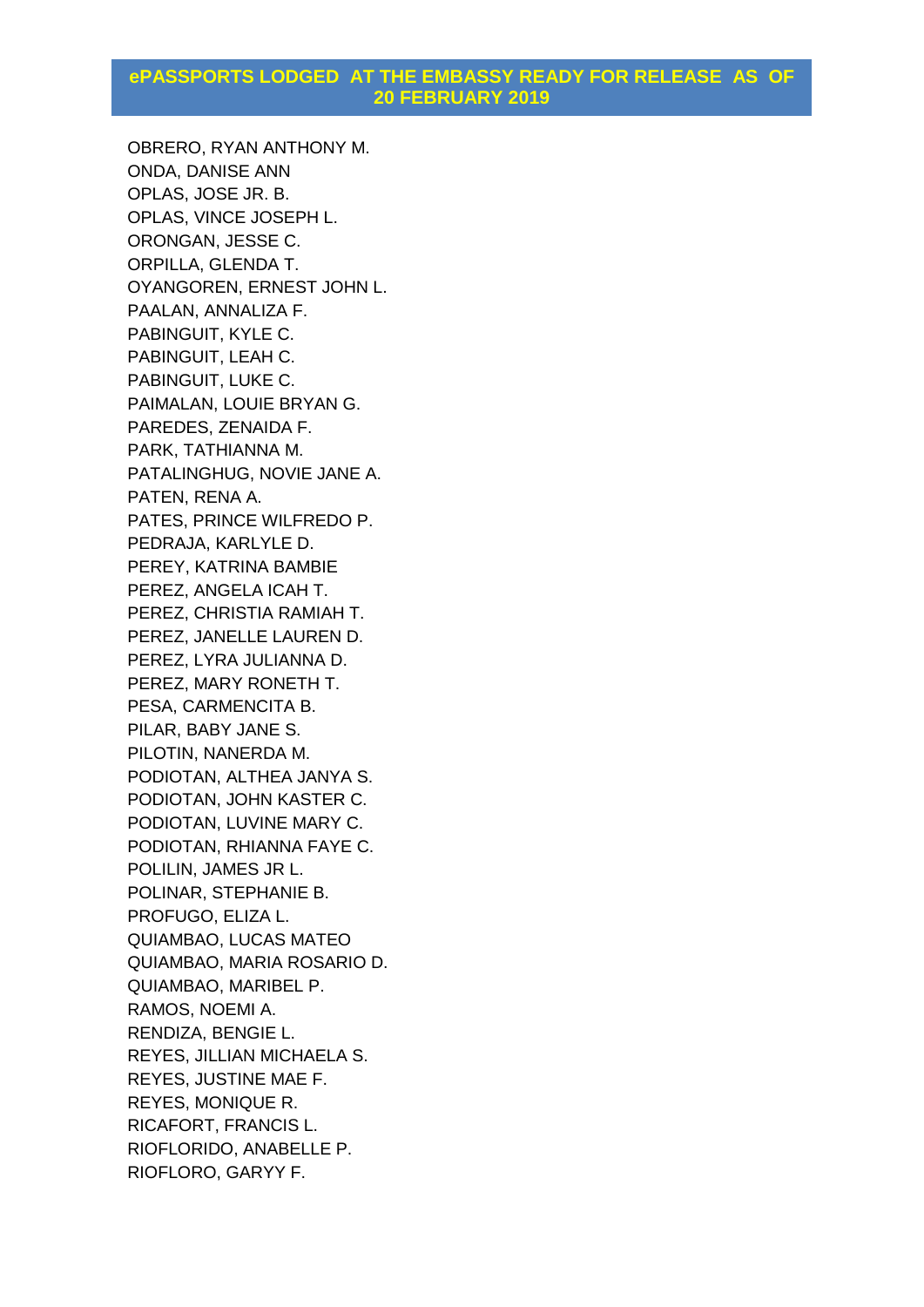OBRERO, RYAN ANTHONY M. ONDA, DANISE ANN OPLAS, JOSE JR. B. OPLAS, VINCE JOSEPH L. ORONGAN, JESSE C. ORPILLA, GLENDA T. OYANGOREN, ERNEST JOHN L. PAALAN, ANNALIZA F. PABINGUIT, KYLE C. PABINGUIT, LEAH C. PABINGUIT, LUKE C. PAIMALAN, LOUIE BRYAN G. PAREDES, ZENAIDA F. PARK, TATHIANNA M. PATALINGHUG, NOVIE JANE A. PATEN, RENA A. PATES, PRINCE WILFREDO P. PEDRAJA, KARLYLE D. PEREY, KATRINA BAMBIE PEREZ, ANGELA ICAH T. PEREZ, CHRISTIA RAMIAH T. PEREZ, JANELLE LAUREN D. PEREZ, LYRA JULIANNA D. PEREZ, MARY RONETH T. PESA, CARMENCITA B. PILAR, BABY JANE S. PILOTIN, NANERDA M. PODIOTAN, ALTHEA JANYA S. PODIOTAN, JOHN KASTER C. PODIOTAN, LUVINE MARY C. PODIOTAN, RHIANNA FAYE C. POLILIN, JAMES JR L. POLINAR, STEPHANIE B. PROFUGO, ELIZA L. QUIAMBAO, LUCAS MATEO QUIAMBAO, MARIA ROSARIO D. QUIAMBAO, MARIBEL P. RAMOS, NOEMI A. RENDIZA, BENGIE L. REYES, JILLIAN MICHAELA S. REYES, JUSTINE MAE F. REYES, MONIQUE R. RICAFORT, FRANCIS L. RIOFLORIDO, ANABELLE P. RIOFLORO, GARYY F.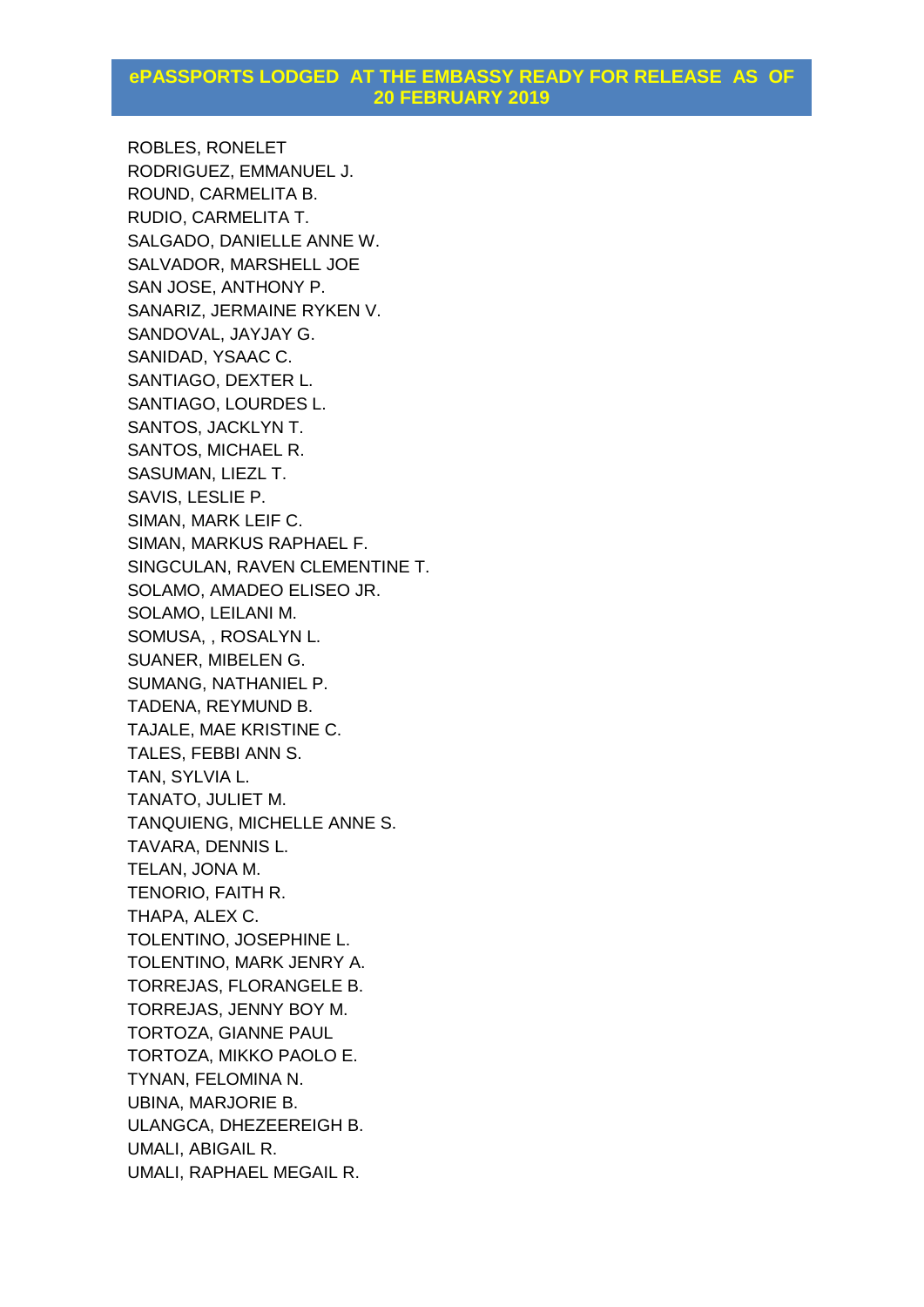ROBLES, RONELET RODRIGUEZ, EMMANUEL J. ROUND, CARMELITA B. RUDIO, CARMELITA T. SALGADO, DANIELLE ANNE W. SALVADOR, MARSHELL JOE SAN JOSE, ANTHONY P. SANARIZ, JERMAINE RYKEN V. SANDOVAL, JAYJAY G. SANIDAD, YSAAC C. SANTIAGO, DEXTER L. SANTIAGO, LOURDES L. SANTOS, JACKLYN T. SANTOS, MICHAEL R. SASUMAN, LIEZL T. SAVIS, LESLIE P. SIMAN, MARK LEIF C. SIMAN, MARKUS RAPHAEL F. SINGCULAN, RAVEN CLEMENTINE T. SOLAMO, AMADEO ELISEO JR. SOLAMO, LEILANI M. SOMUSA, , ROSALYN L. SUANER, MIBELEN G. SUMANG, NATHANIEL P. TADENA, REYMUND B. TAJALE, MAE KRISTINE C. TALES, FEBBI ANN S. TAN, SYLVIA L. TANATO, JULIET M. TANQUIENG, MICHELLE ANNE S. TAVARA, DENNIS L. TELAN, JONA M. TENORIO, FAITH R. THAPA, ALEX C. TOLENTINO, JOSEPHINE L. TOLENTINO, MARK JENRY A. TORREJAS, FLORANGELE B. TORREJAS, JENNY BOY M. TORTOZA, GIANNE PAUL TORTOZA, MIKKO PAOLO E. TYNAN, FELOMINA N. UBINA, MARJORIE B. ULANGCA, DHEZEEREIGH B. UMALI, ABIGAIL R. UMALI, RAPHAEL MEGAIL R.